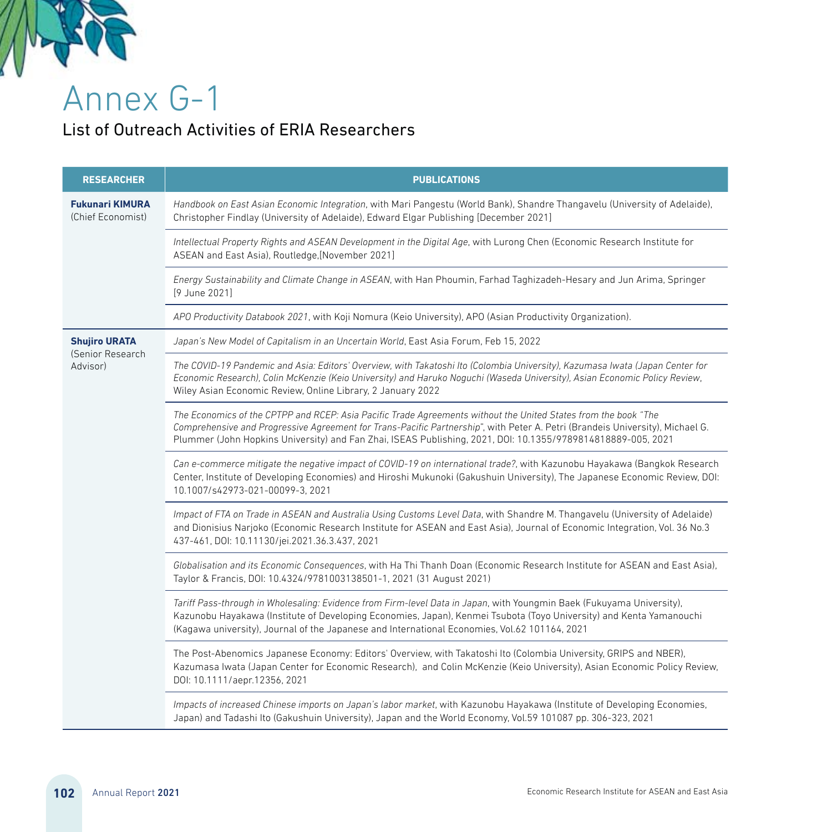

Annex G-1

## List of Outreach Activities of ERIA Researchers

| <b>RESEARCHER</b>                                    | <b>PUBLICATIONS</b>                                                                                                                                                                                                                                                                                                                                              |
|------------------------------------------------------|------------------------------------------------------------------------------------------------------------------------------------------------------------------------------------------------------------------------------------------------------------------------------------------------------------------------------------------------------------------|
| <b>Fukunari KIMURA</b><br>(Chief Economist)          | Handbook on East Asian Economic Integration, with Mari Pangestu (World Bank), Shandre Thangavelu (University of Adelaide),<br>Christopher Findlay (University of Adelaide), Edward Elgar Publishing [December 2021]                                                                                                                                              |
|                                                      | Intellectual Property Rights and ASEAN Development in the Digital Age, with Lurong Chen (Economic Research Institute for<br>ASEAN and East Asia), Routledge, [November 2021]                                                                                                                                                                                     |
|                                                      | Energy Sustainability and Climate Change in ASEAN, with Han Phoumin, Farhad Taghizadeh-Hesary and Jun Arima, Springer<br>[9 June 2021]                                                                                                                                                                                                                           |
|                                                      | APO Productivity Databook 2021, with Koji Nomura (Keio University), APO (Asian Productivity Organization).                                                                                                                                                                                                                                                       |
| <b>Shujiro URATA</b><br>(Senior Research<br>Advisor) | Japan's New Model of Capitalism in an Uncertain World, East Asia Forum, Feb 15, 2022                                                                                                                                                                                                                                                                             |
|                                                      | The COVID-19 Pandemic and Asia: Editors' Overview, with Takatoshi Ito (Colombia University), Kazumasa Iwata (Japan Center for<br>Economic Research), Colin McKenzie (Keio University) and Haruko Noguchi (Waseda University), Asian Economic Policy Review,<br>Wiley Asian Economic Review, Online Library, 2 January 2022                                       |
|                                                      | The Economics of the CPTPP and RCEP: Asia Pacific Trade Agreements without the United States from the book "The<br>Comprehensive and Progressive Agreement for Trans-Pacific Partnership", with Peter A. Petri (Brandeis University), Michael G.<br>Plummer (John Hopkins University) and Fan Zhai, ISEAS Publishing, 2021, DOI: 10.1355/9789814818889-005, 2021 |
|                                                      | Can e-commerce mitigate the negative impact of COVID-19 on international trade?, with Kazunobu Hayakawa (Bangkok Research<br>Center, Institute of Developing Economies) and Hiroshi Mukunoki (Gakushuin University), The Japanese Economic Review, DOI:<br>10.1007/s42973-021-00099-3.2021                                                                       |
|                                                      | Impact of FTA on Trade in ASEAN and Australia Using Customs Level Data, with Shandre M. Thangavelu (University of Adelaide)<br>and Dionisius Narjoko (Economic Research Institute for ASEAN and East Asia), Journal of Economic Integration, Vol. 36 No.3<br>437-461, DOI: 10.11130/jei.2021.36.3.437, 2021                                                      |
|                                                      | Globalisation and its Economic Consequences, with Ha Thi Thanh Doan (Economic Research Institute for ASEAN and East Asia),<br>Taylor & Francis, DOI: 10.4324/9781003138501-1, 2021 (31 August 2021)                                                                                                                                                              |
|                                                      | Tariff Pass-through in Wholesaling: Evidence from Firm-level Data in Japan, with Youngmin Baek (Fukuyama University),<br>Kazunobu Hayakawa (Institute of Developing Economies, Japan), Kenmei Tsubota (Toyo University) and Kenta Yamanouchi<br>(Kagawa university), Journal of the Japanese and International Economies, Vol.62 101164, 2021                    |
|                                                      | The Post-Abenomics Japanese Economy: Editors' Overview, with Takatoshi Ito (Colombia University, GRIPS and NBER),<br>Kazumasa Iwata (Japan Center for Economic Research), and Colin McKenzie (Keio University), Asian Economic Policy Review,<br>DOI: 10.1111/aepr.12356, 2021                                                                                   |
|                                                      | Impacts of increased Chinese imports on Japan's labor market, with Kazunobu Hayakawa (Institute of Developing Economies,<br>Japan) and Tadashi Ito (Gakushuin University), Japan and the World Economy, Vol.59 101087 pp. 306-323, 2021                                                                                                                          |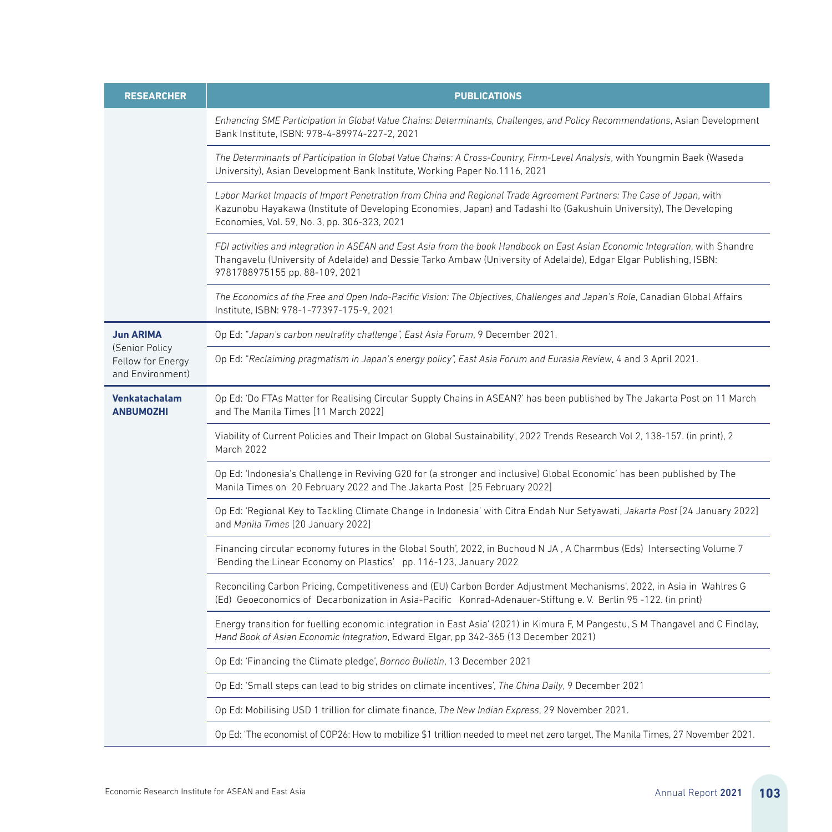| <b>RESEARCHER</b>                                       | <b>PUBLICATIONS</b>                                                                                                                                                                                                                                                                         |
|---------------------------------------------------------|---------------------------------------------------------------------------------------------------------------------------------------------------------------------------------------------------------------------------------------------------------------------------------------------|
|                                                         | Enhancing SME Participation in Global Value Chains: Determinants, Challenges, and Policy Recommendations, Asian Development<br>Bank Institute, ISBN: 978-4-89974-227-2, 2021                                                                                                                |
|                                                         | The Determinants of Participation in Global Value Chains: A Cross-Country, Firm-Level Analysis, with Youngmin Baek (Waseda<br>University), Asian Development Bank Institute, Working Paper No.1116, 2021                                                                                    |
|                                                         | Labor Market Impacts of Import Penetration from China and Regional Trade Agreement Partners: The Case of Japan, with<br>Kazunobu Hayakawa (Institute of Developing Economies, Japan) and Tadashi Ito (Gakushuin University), The Developing<br>Economies, Vol. 59, No. 3, pp. 306-323, 2021 |
|                                                         | FDI activities and integration in ASEAN and East Asia from the book Handbook on East Asian Economic Integration, with Shandre<br>Thangavelu (University of Adelaide) and Dessie Tarko Ambaw (University of Adelaide), Edgar Elgar Publishing, ISBN:<br>9781788975155 pp. 88-109, 2021       |
|                                                         | The Economics of the Free and Open Indo-Pacific Vision: The Objectives, Challenges and Japan's Role, Canadian Global Affairs<br>Institute, ISBN: 978-1-77397-175-9, 2021                                                                                                                    |
| <b>Jun ARIMA</b>                                        | Op Ed: "Japan's carbon neutrality challenge", East Asia Forum, 9 December 2021.                                                                                                                                                                                                             |
| (Senior Policy<br>Fellow for Energy<br>and Environment) | Op Ed: "Reclaiming pragmatism in Japan's energy policy", East Asia Forum and Eurasia Review, 4 and 3 April 2021.                                                                                                                                                                            |
| Venkatachalam<br><b>ANBUMOZHI</b>                       | Op Ed: 'Do FTAs Matter for Realising Circular Supply Chains in ASEAN?' has been published by The Jakarta Post on 11 March<br>and The Manila Times [11 March 2022]                                                                                                                           |
|                                                         | Viability of Current Policies and Their Impact on Global Sustainability', 2022 Trends Research Vol 2, 138-157. (in print), 2<br>March 2022                                                                                                                                                  |
|                                                         | Op Ed: 'Indonesia's Challenge in Reviving G20 for (a stronger and inclusive) Global Economic' has been published by The<br>Manila Times on 20 February 2022 and The Jakarta Post [25 February 2022]                                                                                         |
|                                                         | Op Ed: 'Regional Key to Tackling Climate Change in Indonesia' with Citra Endah Nur Setyawati, Jakarta Post [24 January 2022]<br>and Manila Times [20 January 2022]                                                                                                                          |
|                                                         | Financing circular economy futures in the Global South', 2022, in Buchoud N JA, A Charmbus (Eds) Intersecting Volume 7<br>'Bending the Linear Economy on Plastics' pp. 116-123, January 2022                                                                                                |
|                                                         | Reconciling Carbon Pricing, Competitiveness and (EU) Carbon Border Adjustment Mechanisms', 2022, in Asia in Wahlres G<br>(Ed) Geoeconomics of Decarbonization in Asia-Pacific Konrad-Adenauer-Stiftung e. V. Berlin 95-122. (in print)                                                      |
|                                                         | Energy transition for fuelling economic integration in East Asia' (2021) in Kimura F, M Pangestu, S M Thangavel and C Findlay,<br>Hand Book of Asian Economic Integration, Edward Elgar, pp 342-365 (13 December 2021)                                                                      |
|                                                         | Op Ed: 'Financing the Climate pledge', Borneo Bulletin, 13 December 2021                                                                                                                                                                                                                    |
|                                                         | Op Ed: 'Small steps can lead to big strides on climate incentives', The China Daily, 9 December 2021                                                                                                                                                                                        |
|                                                         | Op Ed: Mobilising USD 1 trillion for climate finance, The New Indian Express, 29 November 2021.                                                                                                                                                                                             |
|                                                         | Op Ed: 'The economist of COP26: How to mobilize \$1 trillion needed to meet net zero target, The Manila Times, 27 November 2021.                                                                                                                                                            |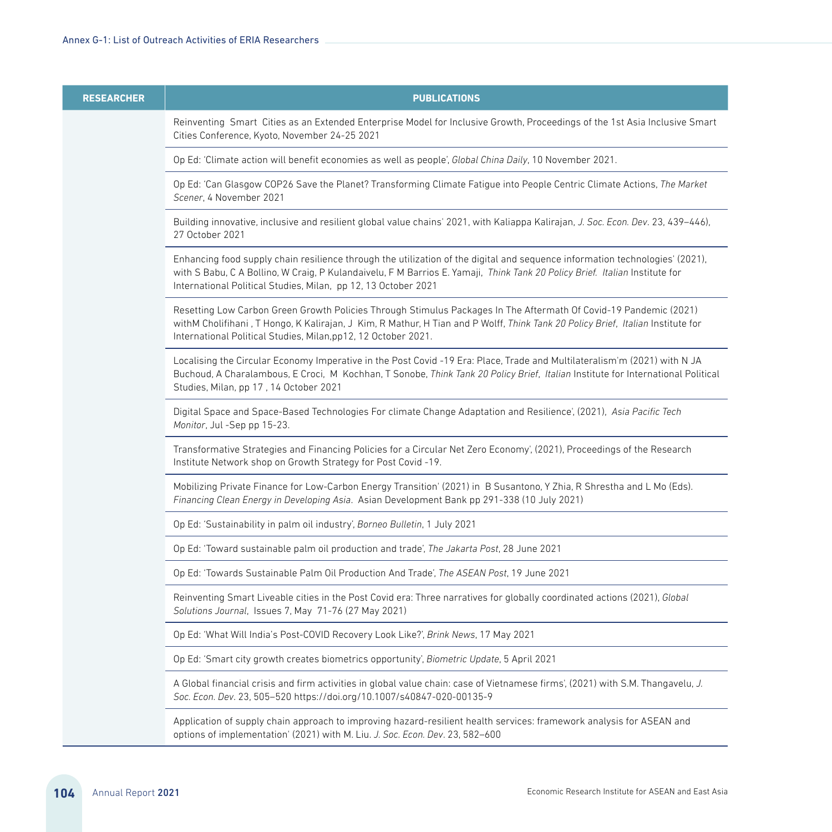| <b>RESEARCHER</b> | <b>PUBLICATIONS</b>                                                                                                                                                                                                                                                                                                           |
|-------------------|-------------------------------------------------------------------------------------------------------------------------------------------------------------------------------------------------------------------------------------------------------------------------------------------------------------------------------|
|                   | Reinventing Smart Cities as an Extended Enterprise Model for Inclusive Growth, Proceedings of the 1st Asia Inclusive Smart<br>Cities Conference, Kyoto, November 24-25 2021                                                                                                                                                   |
|                   | Op Ed: 'Climate action will benefit economies as well as people', Global China Daily, 10 November 2021.                                                                                                                                                                                                                       |
|                   | Op Ed: 'Can Glasgow COP26 Save the Planet? Transforming Climate Fatigue into People Centric Climate Actions, The Market<br>Scener, 4 November 2021                                                                                                                                                                            |
|                   | Building innovative, inclusive and resilient global value chains' 2021, with Kaliappa Kalirajan, J. Soc. Econ. Dev. 23, 439–446),<br>27 October 2021                                                                                                                                                                          |
|                   | Enhancing food supply chain resilience through the utilization of the digital and sequence information technologies' (2021),<br>with S Babu, C A Bollino, W Craig, P Kulandaivelu, F M Barrios E. Yamaji, Think Tank 20 Policy Brief. Italian Institute for<br>International Political Studies, Milan, pp 12, 13 October 2021 |
|                   | Resetting Low Carbon Green Growth Policies Through Stimulus Packages In The Aftermath Of Covid-19 Pandemic (2021)<br>withM Cholifihani, T Hongo, K Kalirajan, J Kim, R Mathur, H Tian and P Wolff, Think Tank 20 Policy Brief, Italian Institute for<br>International Political Studies, Milan, pp12, 12 October 2021.        |
|                   | Localising the Circular Economy Imperative in the Post Covid -19 Era: Place, Trade and Multilateralism'm (2021) with N JA<br>Buchoud, A Charalambous, E Croci, M Kochhan, T Sonobe, Think Tank 20 Policy Brief, Italian Institute for International Political<br>Studies, Milan, pp 17, 14 October 2021                       |
|                   | Digital Space and Space-Based Technologies For climate Change Adaptation and Resilience', (2021), Asia Pacific Tech<br>Monitor, Jul -Sep pp 15-23.                                                                                                                                                                            |
|                   | Transformative Strategies and Financing Policies for a Circular Net Zero Economy', (2021), Proceedings of the Research<br>Institute Network shop on Growth Strategy for Post Covid-19.                                                                                                                                        |
|                   | Mobilizing Private Finance for Low-Carbon Energy Transition' (2021) in B Susantono, Y Zhia, R Shrestha and L Mo (Eds).<br>Financing Clean Energy in Developing Asia. Asian Development Bank pp 291-338 (10 July 2021)                                                                                                         |
|                   | Op Ed: 'Sustainability in palm oil industry', Borneo Bulletin, 1 July 2021                                                                                                                                                                                                                                                    |
|                   | Op Ed: 'Toward sustainable palm oil production and trade', The Jakarta Post, 28 June 2021                                                                                                                                                                                                                                     |
|                   | Op Ed: 'Towards Sustainable Palm Oil Production And Trade', The ASEAN Post, 19 June 2021                                                                                                                                                                                                                                      |
|                   | Reinventing Smart Liveable cities in the Post Covid era: Three narratives for globally coordinated actions (2021), Global<br>Solutions Journal, Issues 7, May 71-76 (27 May 2021)                                                                                                                                             |
|                   | Op Ed: 'What Will India's Post-COVID Recovery Look Like?', Brink News, 17 May 2021                                                                                                                                                                                                                                            |
|                   | Op Ed: 'Smart city growth creates biometrics opportunity', Biometric Update, 5 April 2021                                                                                                                                                                                                                                     |
|                   | A Global financial crisis and firm activities in global value chain: case of Vietnamese firms', (2021) with S.M. Thangavelu, J.<br>Soc. Econ. Dev. 23, 505-520 https://doi.org/10.1007/s40847-020-00135-9                                                                                                                     |
|                   | Application of supply chain approach to improving hazard-resilient health services: framework analysis for ASEAN and<br>options of implementation' (2021) with M. Liu. J. Soc. Econ. Dev. 23, 582-600                                                                                                                         |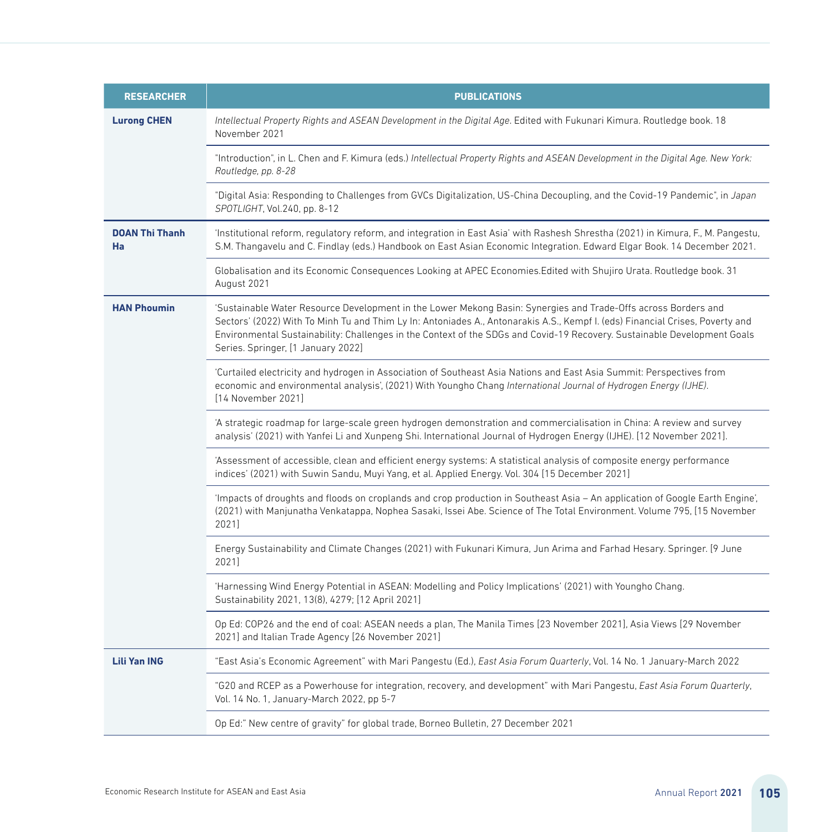| <b>RESEARCHER</b>           | <b>PUBLICATIONS</b>                                                                                                                                                                                                                                                                                                                                                                                               |
|-----------------------------|-------------------------------------------------------------------------------------------------------------------------------------------------------------------------------------------------------------------------------------------------------------------------------------------------------------------------------------------------------------------------------------------------------------------|
| <b>Lurong CHEN</b>          | Intellectual Property Rights and ASEAN Development in the Digital Age. Edited with Fukunari Kimura. Routledge book. 18<br>November 2021                                                                                                                                                                                                                                                                           |
|                             | "Introduction", in L. Chen and F. Kimura (eds.) Intellectual Property Rights and ASEAN Development in the Digital Age. New York:<br>Routledge, pp. 8-28                                                                                                                                                                                                                                                           |
|                             | "Digital Asia: Responding to Challenges from GVCs Digitalization, US-China Decoupling, and the Covid-19 Pandemic", in Japan<br>SPOTLIGHT, Vol.240, pp. 8-12                                                                                                                                                                                                                                                       |
| <b>DOAN Thi Thanh</b><br>Ha | 'Institutional reform, regulatory reform, and integration in East Asia' with Rashesh Shrestha (2021) in Kimura, F., M. Pangestu,<br>S.M. Thangavelu and C. Findlay (eds.) Handbook on East Asian Economic Integration. Edward Elgar Book. 14 December 2021.                                                                                                                                                       |
|                             | Globalisation and its Economic Consequences Looking at APEC Economies. Edited with Shujiro Urata. Routledge book. 31<br>August 2021                                                                                                                                                                                                                                                                               |
| <b>HAN Phoumin</b>          | 'Sustainable Water Resource Development in the Lower Mekong Basin: Synergies and Trade-Offs across Borders and<br>Sectors' (2022) With To Minh Tu and Thim Ly In: Antoniades A., Antonarakis A.S., Kempf I. (eds) Financial Crises, Poverty and<br>Environmental Sustainability: Challenges in the Context of the SDGs and Covid-19 Recovery. Sustainable Development Goals<br>Series. Springer, [1 January 2022] |
|                             | 'Curtailed electricity and hydrogen in Association of Southeast Asia Nations and East Asia Summit: Perspectives from<br>economic and environmental analysis', (2021) With Youngho Chang International Journal of Hydrogen Energy (IJHE).<br>[14 November 2021]                                                                                                                                                    |
|                             | 'A strategic roadmap for large-scale green hydrogen demonstration and commercialisation in China: A review and survey<br>analysis' (2021) with Yanfei Li and Xunpeng Shi. International Journal of Hydrogen Energy (IJHE). [12 November 2021].                                                                                                                                                                    |
|                             | 'Assessment of accessible, clean and efficient energy systems: A statistical analysis of composite energy performance<br>indices' (2021) with Suwin Sandu, Muyi Yang, et al. Applied Energy. Vol. 304 [15 December 2021]                                                                                                                                                                                          |
|                             | 'Impacts of droughts and floods on croplands and crop production in Southeast Asia - An application of Google Earth Engine',<br>(2021) with Manjunatha Venkatappa, Nophea Sasaki, Issei Abe. Science of The Total Environment. Volume 795, [15 November<br>2021]                                                                                                                                                  |
|                             | Energy Sustainability and Climate Changes (2021) with Fukunari Kimura, Jun Arima and Farhad Hesary. Springer. [9 June<br>2021]                                                                                                                                                                                                                                                                                    |
|                             | Harnessing Wind Energy Potential in ASEAN: Modelling and Policy Implications' (2021) with Youngho Chang.<br>Sustainability 2021, 13(8), 4279; [12 April 2021]                                                                                                                                                                                                                                                     |
|                             | Op Ed: COP26 and the end of coal: ASEAN needs a plan, The Manila Times [23 November 2021], Asia Views [29 November<br>2021] and Italian Trade Agency [26 November 2021]                                                                                                                                                                                                                                           |
| <b>Lili Yan ING</b>         | "East Asia's Economic Agreement" with Mari Pangestu (Ed.), East Asia Forum Quarterly, Vol. 14 No. 1 January-March 2022                                                                                                                                                                                                                                                                                            |
|                             | "G20 and RCEP as a Powerhouse for integration, recovery, and development" with Mari Pangestu, East Asia Forum Quarterly,<br>Vol. 14 No. 1, January-March 2022, pp 5-7                                                                                                                                                                                                                                             |
|                             | Op Ed:" New centre of gravity" for global trade, Borneo Bulletin, 27 December 2021                                                                                                                                                                                                                                                                                                                                |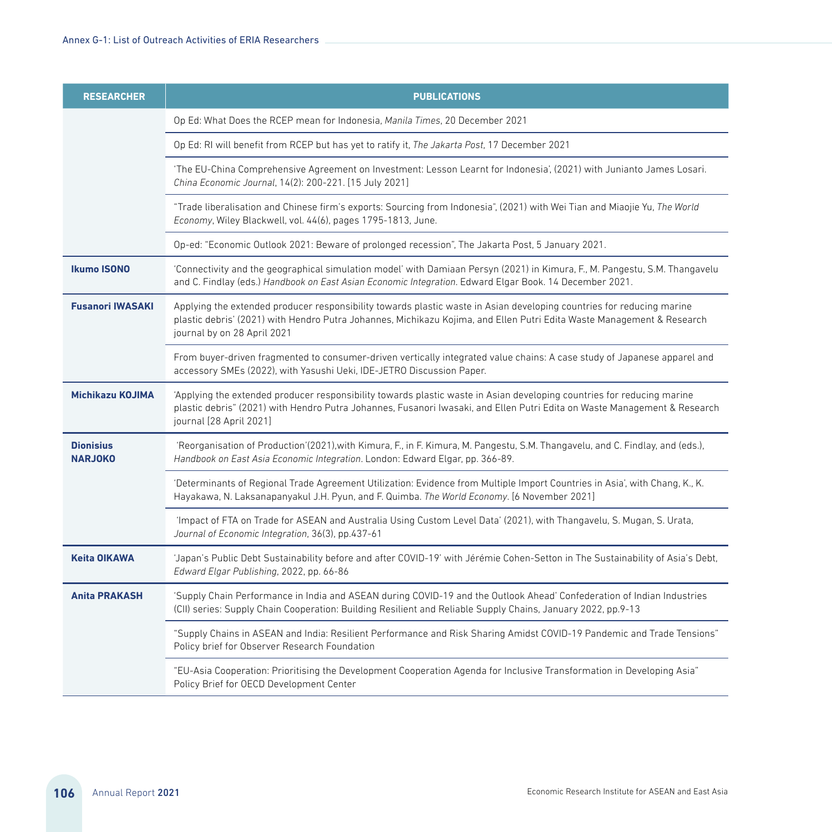| <b>RESEARCHER</b>                  | <b>PUBLICATIONS</b>                                                                                                                                                                                                                                                            |
|------------------------------------|--------------------------------------------------------------------------------------------------------------------------------------------------------------------------------------------------------------------------------------------------------------------------------|
|                                    | Op Ed: What Does the RCEP mean for Indonesia, Manila Times, 20 December 2021                                                                                                                                                                                                   |
|                                    | Op Ed: RI will benefit from RCEP but has yet to ratify it, The Jakarta Post, 17 December 2021                                                                                                                                                                                  |
|                                    | 'The EU-China Comprehensive Agreement on Investment: Lesson Learnt for Indonesia', (2021) with Junianto James Losari.<br>China Economic Journal, 14(2): 200-221. [15 July 2021]                                                                                                |
|                                    | "Trade liberalisation and Chinese firm's exports: Sourcing from Indonesia", (2021) with Wei Tian and Miaojie Yu, The World<br>Economy, Wiley Blackwell, vol. 44(6), pages 1795-1813, June.                                                                                     |
|                                    | Op-ed: "Economic Outlook 2021: Beware of prolonged recession", The Jakarta Post, 5 January 2021.                                                                                                                                                                               |
| <b>Ikumo ISONO</b>                 | 'Connectivity and the geographical simulation model' with Damiaan Persyn (2021) in Kimura, F., M. Pangestu, S.M. Thangavelu<br>and C. Findlay (eds.) Handbook on East Asian Economic Integration. Edward Elgar Book. 14 December 2021.                                         |
| <b>Fusanori IWASAKI</b>            | Applying the extended producer responsibility towards plastic waste in Asian developing countries for reducing marine<br>plastic debris' (2021) with Hendro Putra Johannes, Michikazu Kojima, and Ellen Putri Edita Waste Management & Research<br>journal by on 28 April 2021 |
|                                    | From buyer-driven fragmented to consumer-driven vertically integrated value chains: A case study of Japanese apparel and<br>accessory SMEs (2022), with Yasushi Ueki, IDE-JETRO Discussion Paper.                                                                              |
| Michikazu KOJIMA                   | 'Applying the extended producer responsibility towards plastic waste in Asian developing countries for reducing marine<br>plastic debris" (2021) with Hendro Putra Johannes, Fusanori Iwasaki, and Ellen Putri Edita on Waste Management & Research<br>journal [28 April 2021] |
| <b>Dionisius</b><br><b>NARJOKO</b> | 'Reorganisation of Production'(2021),with Kimura, F., in F. Kimura, M. Pangestu, S.M. Thangavelu, and C. Findlay, and (eds.),<br>Handbook on East Asia Economic Integration. London: Edward Elgar, pp. 366-89.                                                                 |
|                                    | 'Determinants of Regional Trade Agreement Utilization: Evidence from Multiple Import Countries in Asia', with Chang, K., K.<br>Hayakawa, N. Laksanapanyakul J.H. Pyun, and F. Quimba. The World Economy. [6 November 2021]                                                     |
|                                    | 'Impact of FTA on Trade for ASEAN and Australia Using Custom Level Data' (2021), with Thangavelu, S. Mugan, S. Urata,<br>Journal of Economic Integration, 36(3), pp.437-61                                                                                                     |
| <b>Keita OIKAWA</b>                | 'Japan's Public Debt Sustainability before and after COVID-19' with Jérémie Cohen-Setton in The Sustainability of Asia's Debt,<br>Edward Elgar Publishing, 2022, pp. 66-86                                                                                                     |
| <b>Anita PRAKASH</b>               | 'Supply Chain Performance in India and ASEAN during COVID-19 and the Outlook Ahead' Confederation of Indian Industries<br>(CII) series: Supply Chain Cooperation: Building Resilient and Reliable Supply Chains, January 2022, pp.9-13                                         |
|                                    | "Supply Chains in ASEAN and India: Resilient Performance and Risk Sharing Amidst COVID-19 Pandemic and Trade Tensions"<br>Policy brief for Observer Research Foundation                                                                                                        |
|                                    | "EU-Asia Cooperation: Prioritising the Development Cooperation Agenda for Inclusive Transformation in Developing Asia"<br>Policy Brief for OECD Development Center                                                                                                             |